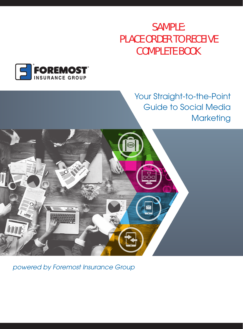## SAMPLE: PLACE ORDER TO RECEIVE COMPLETE BOOK



### Your Straight-to-the-Point Guide to Social Media **Marketing**



*powered by Foremost Insurance Group*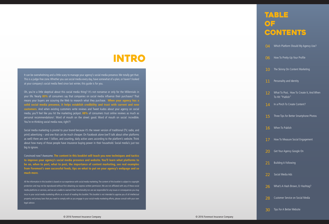# **INTRO**

It can be overwhelming and a little scary to manage your agency's social media presence. We totally get that. This is a judge-free zone. Whether you use social media every day, have somewhat of a plan, or haven't looked at your company's social media feed since last winter, this guide is for you.

Oh, you're a little skeptical about this social media thing? It's not nonsense or only for the Millennials in your life. Nearly **80%** of consumers say that companies on social media influence their purchases!1 That means your buyers are scouring the Web to research what they purchase. **When your agency has a solid social media presence, it helps establish credibility and trust with current and new customers.** And when existing customers write reviews and Tweet kudos about your agency on social media, you'll feel like you hit the marketing jackpot. **88%** of consumers trust online reviews as much as personal recommendations<sup>2</sup>. Word of mouth on the street: good. Word of mouth on social: incredible. You're re-thinking social media now, right?!

Social media marketing is pivotal to your brand because it's the newer version of traditional (TV, radio, and print) advertising – and one that can be much cheaper. On Facebook alone (we'll talk about other platforms as well) there are over 1 billion, and counting, daily active users according to the platform's website. Think about how many of those people have insurance buying power in their household. Social media's just too big to ignore.

Convinced now? Awesome. **The content in this booklet will teach you new techniques and tactics to improve your agency's social media presence and website. You'll learn what platforms to be on, when to post, what to post, the importance of content marketing, see real examples from Foremost's own successful feeds, tips on what to put on your agency's webpage and so much more.**

All the information in this booklet is based on our experience with social media marketing. The content of this booklet is subject to copyright protection and may not be reproduced without first obtaining our express written permission. We are not affiliated with any of these social media platforms or services, and we are unable to warrant their functionality nor are we responsible for any issues or consequences you may incur in your social media marketing efforts as a result of reading this booklet. This booklet is not intended to apprise you of all intellectual property and privacy laws that you need to comply with as you engage in your social media marketing efforts, please consult with your own legal advisor.

# table **OF CONTENTS**

| 04              | Which Platform Should My Agency Use?                         |
|-----------------|--------------------------------------------------------------|
| 06              | How To Pretty-Up Your Profile                                |
| 10              | The Skinny On Content Marketing                              |
| 11              | Personality and Identity                                     |
| $\overline{12}$ | What To Post, How To Create It, And When<br>To Hit "Publish" |
| 14              | In a Pinch To Create Content?                                |
| 15              | Three Tips for Better Smartphone Photos                      |
| 16              | When To Publish                                              |
| 17              | How To Measure Social Engagement                             |
| 20              | Get Your Agency Google On                                    |
| 21              | <b>Building A Following</b>                                  |
| 22              | Social Media Ads                                             |
| 26              | What's A Hash Brown, Er Hashtag?                             |
| 28              | Customer Service on Social Media                             |
| 30              | Tips For A Better Website                                    |